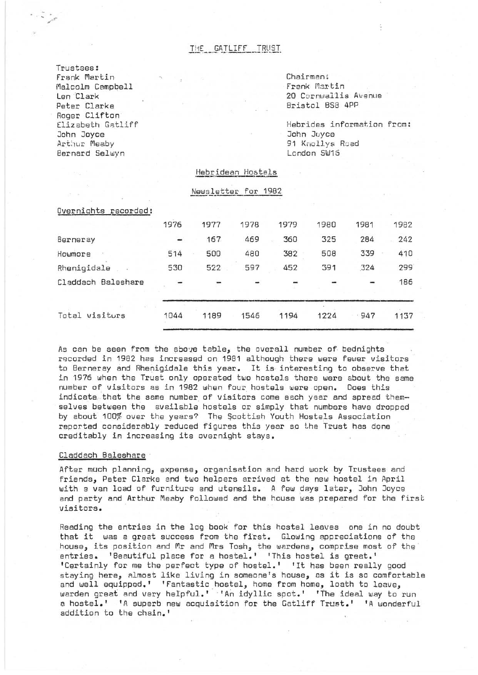# THE GATLIFF TRUST

Trustees: Frank Martin Malcolm Campbell Len Clark Peter Clarke Roger Clifton Elizabeth Gatliff John Joyce Arthur Meaby Bernard Selwyn

Chairman: Frank Martin 20 Cornwallis Avenue Bristol BS8 4PP

Hebrides informat.ion from: John Juyce 91 Knollys Road London SW16

## Hebridean Hostels

### Newsletter for 1982

| Overnights recorded: |                          |      |      |      |      |      |      |
|----------------------|--------------------------|------|------|------|------|------|------|
|                      | 1976                     | 1977 | 1978 | 1979 | 1980 | 1981 | 1982 |
| Berneray             | $\overline{\phantom{a}}$ | 167  | 469  | 360  | 325  | 284  | 242  |
| Howmore              | 514                      | 500  | 480  | 382  | 508  | 339  | 410  |
| Rhenigidale          | 530                      | 522  | 597  | 452  | 391  | 324  | 299  |
| Claddach Baleshare   |                          |      |      |      |      |      | 186  |
| Total visiturs       | 1044                     | 1189 | 1546 | 1194 | 1224 | 947  | 1137 |

As can be seen from the above table, the overall number of bednights recorded in 1982 has increased on 1981 although there were fewer visitors to Berneray and Rhenigidale this year. It is interesting to observe that in 1976 when the Trust only operated two hostels there were about the same number of visitors as in 1982 when four hostels were open. Does this indicata that the same number of visitors come each year and spread them selves between the available hostels or simply that numbers have dropped by about 100% over the years? The Scottish Youth Hostels Association reported considerably reduced figures this year so the Trust has done creditably in increasing its overnight stays.

## Claddach Baleshare

After much planning, expense, organisation and hard work by Trustees and friends, Peter Clarke and two helpers arrived at the new hostel in April with a van load of furniture and utensils. A few days later, John Joyce and party and Arthur Meaby followed and the house was prepared for the first visitors.

Reading the entries in the log book for this hostel leaves one in no doubt that it was a great success from the first. Glowing appreciations of the house, its position and Mr and Mrs Tosh, the wardens, comprise most of the entries. 'Beautiful place for a hostel.' 'This hostel is great.' 'Certainly for me the perfect type of hostel.' 'It has been really good staying here, almost like living in someone's house, as it is so comfortable and well equipped.' 'Fantastic hostel, home from home, loath to leave, warden great and very helpful.' 'An idyllic spot.' 'The ideal way to run a hostel.' 'A superb new acquisition for the Gatliff Trust.' 'A wonderful addition to the chain.'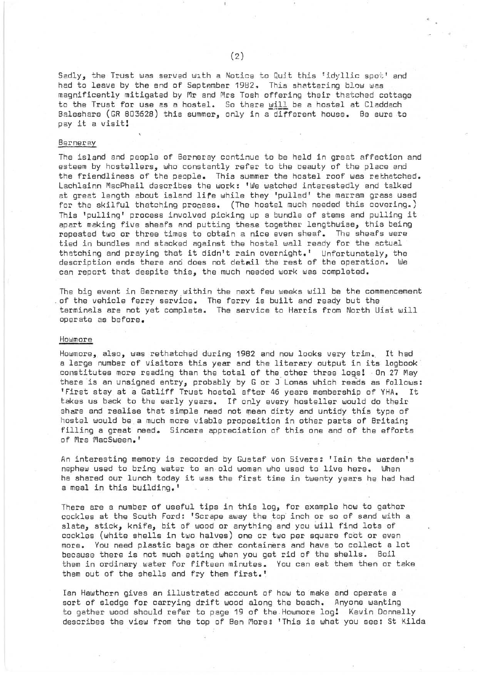Sadly, the Trust was served with a Notice to Quit this 'idyllic spot' and had to leave by the end of September 1982. This shattering blow was magnificently mitigated by Mr and Mrs Tosh offering their thatched cottage to the Trust for use as a hostel. So there will be a hostel at Claddach Baleshare (GR 803628) this summer, only in a-different house. 8e sure to pay it a visit!

#### **Berneray**

The island and people of Berneray continue to be held in great affection and esteem by hostellers, who constantly refer to the beauty of the place and the friendliness of the people. This summer the hostel roof was rethatched. Lachlainn MacPhail describes the work: 'We watched interestedly and talked at great length about island life while they 'pulled' the marram grass used for the skilful thatching process. (The hostel much needed this covering.) This 'pulling' process involved picking up a bundle of stems and pulling it apart making five sheafs and putting these together lengthwise, this being repeated two or three times to obtain a nice even sheaf. The sheafs were tied in bundles and stacked against the hostel wall ready for the actual thatching and praying that it didn't rain overnight.' Unfortunately, the description ends there and does not detail the rest of the operation. We can report that despite this, the much needed work was completed.

The big event in Berneray within the next few weeks will be the commencement of the vehicle ferry service. The ferry is built and ready but the terminals are not yet complete. The service to Harris from North uist will operate as before.

## Howmore

Howmore, also, was rethatched during 1982 and now looks very trim". It had a large number of visitors this year and the literary output in its logbook constitutes more reading than the total of the other three logs! On 27 May there is an unsigned entry, probably by G or J Lomas which reads as follows: 'First stay at a Gatliff Trust hostel after 46 years membership of YHA. It takes us back to the early years. If only every hosteller would do their share and realise that simple need not mean dirty and untidy this type of hostel would bea much more viable proposition in other parts of Britain; filling a great need. Sincere appreciation of this one and of the efforts of Mrs MacSween.'

An interesting memory is recorded by Gustaf von Sivers: 'Iain the warden's nephew used to bring water to an old woman who used to live here. When he shared our lunch today it was the first time in twenty years he had had a meal in this building.'

There are a number of useful tips in this log, for example how to gather cockles at the South Ford: 'Scrape away the top inch or so of sand with a slate, stick, knife, bit of wood or anything and you will find lots of cockles (white shells in two halves) one or two per square foot or even more. You need plastic bags or dher containers and have to collect a lot because there is not much eating when you get rid of the shells. Boil them in ordinary water for fifteen minutes. You can eat them then or take them out of the shells and fry them first.'

Ian Hawthorn gives an illustrated account of how to make and operate a sort of sledge for carrying drift wood along the beach. Anyone wanting to gather wood should refer to page 19 of the Howmore log! Kevin Donnelly describes the view from the top of Ben More: 'This is what you see: st Kilda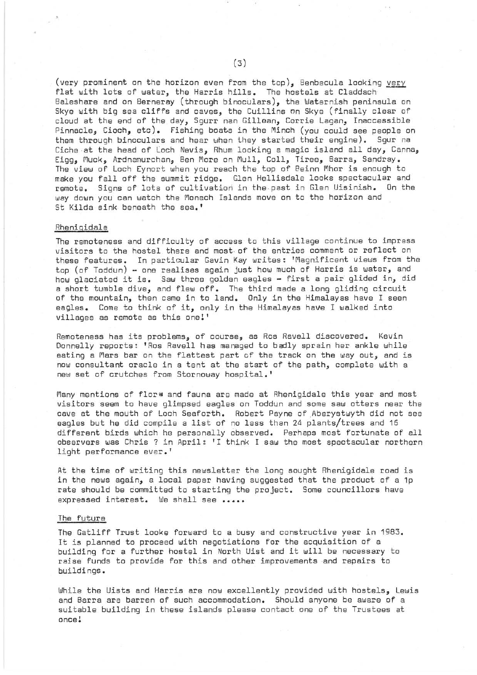(very prominent on the horizon even from the top), Benbecula looking  $very$ </u> flat with lots of water, the Harris hills. The hostels at Claddach Baleshare and on Berneray (through binoculars), the Waternish peninsula on Skye with big sea cliffs and caves, the Cuillins on Skye (finally clear of cloud at the end of the day, Sgurr nan Gillean, Corrie Lagan, Inaccessible Pinnacle, Cioch, etc). Fishing boats in the Minch (you could see people on them through binoculars and hear when they started their engine). Sgur na Ciche at the head of Loch Nevis, Rhum looking a magic island all day, Canna, Eigg, Muck, Ardnamurchan, Ben More on Mull, Coll, Tiree, Barra, Sandray. The view of Loch Eynort when you reach the top of Beinn Mhor is enough to make you falloff the summit ridge. Glen Hellisdale looks spectacular and remote. Signs of lots of cultivatiori in the past in Glen Uisinish. On the way down you can watch the Monach Islands move on to the horizon and St Kilda sink beneath the sea.'

#### Rhenigidale

The remoteness and difficulty of access to this village continue to impress visitors to the hostel there and most, of the entries comment or reflect on these features. In particular Gavin Kay writes: 'Magnificent views from the top (of Toddun) - one realises again just how much of Harris is water, and how glaciated it is. Saw three golden eagles - first a pair glided in, did a short tumble dive, and flew off. The third made a long gliding circuit of the mountain, then came in to land. Only in the Himalayas have I seen eagles. Come to think of it, only in the Himalayas have I walked into villages as remote as this one!'

Remoteness has its problems, of course, as Ros Ravell discovered. Kevin Donnelly reports: 'Ros Ravell has managed to badly sprain her ankle while eating a Mars bar on the flattest part of the track on the way out, and is now consultant oracle in a tent at the start of the path, complete with a new set of crutches from Stornoway hospital.'

Many mentions of flora and fauna are made at Rhenigidale this year and most visitors seem to have glimpsed eagles on Toddun and some saw otters near the cave at the mouth of Loch Seaforth. Robert Payne of Aberystwyth did not see eagles but he did compile a list of no less than 24 plants/trees and 16 different birds which he personally observed. Perhaps most fortunate of all observers was Chris ? in April: 'I think I saw the most spectacular northern light performance ever.'

At the time of writing this newsletter the long sought Rhenigidale road is in the news again, a local paper having suggested that the product of a 1p rate should be committed to starting the project. Some councillors have expressed interest. We shall see **•••••** 

# The future

The Gatliff Trust looke forward to a busy and constructive year in 1983. It is planned to proceed with negotiations for the acquisition of a building for a further hostel in North Uist and it will be necessary to raise funds to provide for this and other improvements and repairs to buildings.

While the Uists and Harris are now excellently provided with hostels, Lewis and Barra are barren of such accommodation. Should anyone be aware of a suitable building in these islands please contact one of the Trustees at once!